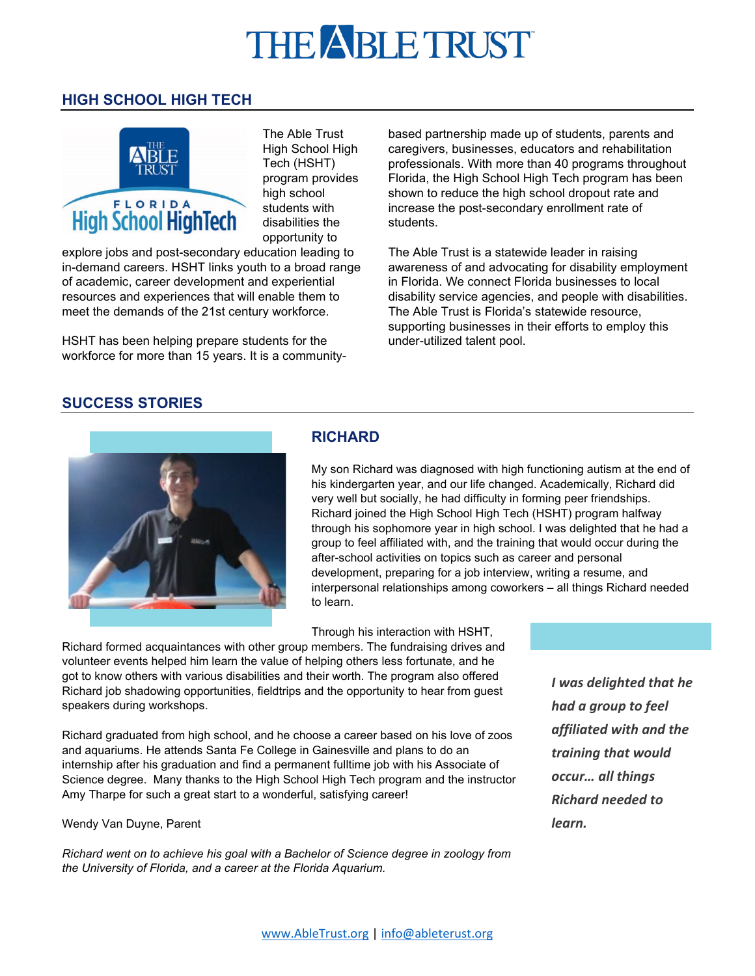# **THE ABLE TRUST**

### **HIGH SCHOOL HIGH TECH**



The Able Trust High School High Tech (HSHT) program provides high school students with disabilities the opportunity to

explore jobs and post-secondary education leading to in-demand careers. HSHT links youth to a broad range of academic, career development and experiential resources and experiences that will enable them to meet the demands of the 21st century workforce.

HSHT has been helping prepare students for the workforce for more than 15 years. It is a communitybased partnership made up of students, parents and caregivers, businesses, educators and rehabilitation professionals. With more than 40 programs throughout Florida, the High School High Tech program has been shown to reduce the high school dropout rate and increase the post-secondary enrollment rate of students.

The Able Trust is a statewide leader in raising awareness of and advocating for disability employment in Florida. We connect Florida businesses to local disability service agencies, and people with disabilities. The Able Trust is Florida's statewide resource, supporting businesses in their efforts to employ this under-utilized talent pool.

#### **SUCCESS STORIES**



#### **RICHARD**

My son Richard was diagnosed with high functioning autism at the end of his kindergarten year, and our life changed. Academically, Richard did very well but socially, he had difficulty in forming peer friendships. Richard joined the High School High Tech (HSHT) program halfway through his sophomore year in high school. I was delighted that he had a group to feel affiliated with, and the training that would occur during the after-school activities on topics such as career and personal development, preparing for a job interview, writing a resume, and interpersonal relationships among coworkers – all things Richard needed to learn.

Through his interaction with HSHT,

Richard formed acquaintances with other group members. The fundraising drives and volunteer events helped him learn the value of helping others less fortunate, and he got to know others with various disabilities and their worth. The program also offered Richard job shadowing opportunities, fieldtrips and the opportunity to hear from guest speakers during workshops.

Richard graduated from high school, and he choose a career based on his love of zoos and aquariums. He attends Santa Fe College in Gainesville and plans to do an internship after his graduation and find a permanent fulltime job with his Associate of Science degree. Many thanks to the High School High Tech program and the instructor Amy Tharpe for such a great start to a wonderful, satisfying career!

Wendy Van Duyne, Parent

*Richard went on to achieve his goal with a Bachelor of Science degree in zoology from the University of Florida, and a career at the Florida Aquarium.*

*I was delighted that he had a group to feel affiliated with and the training that would occur… all things Richard needed to learn.*